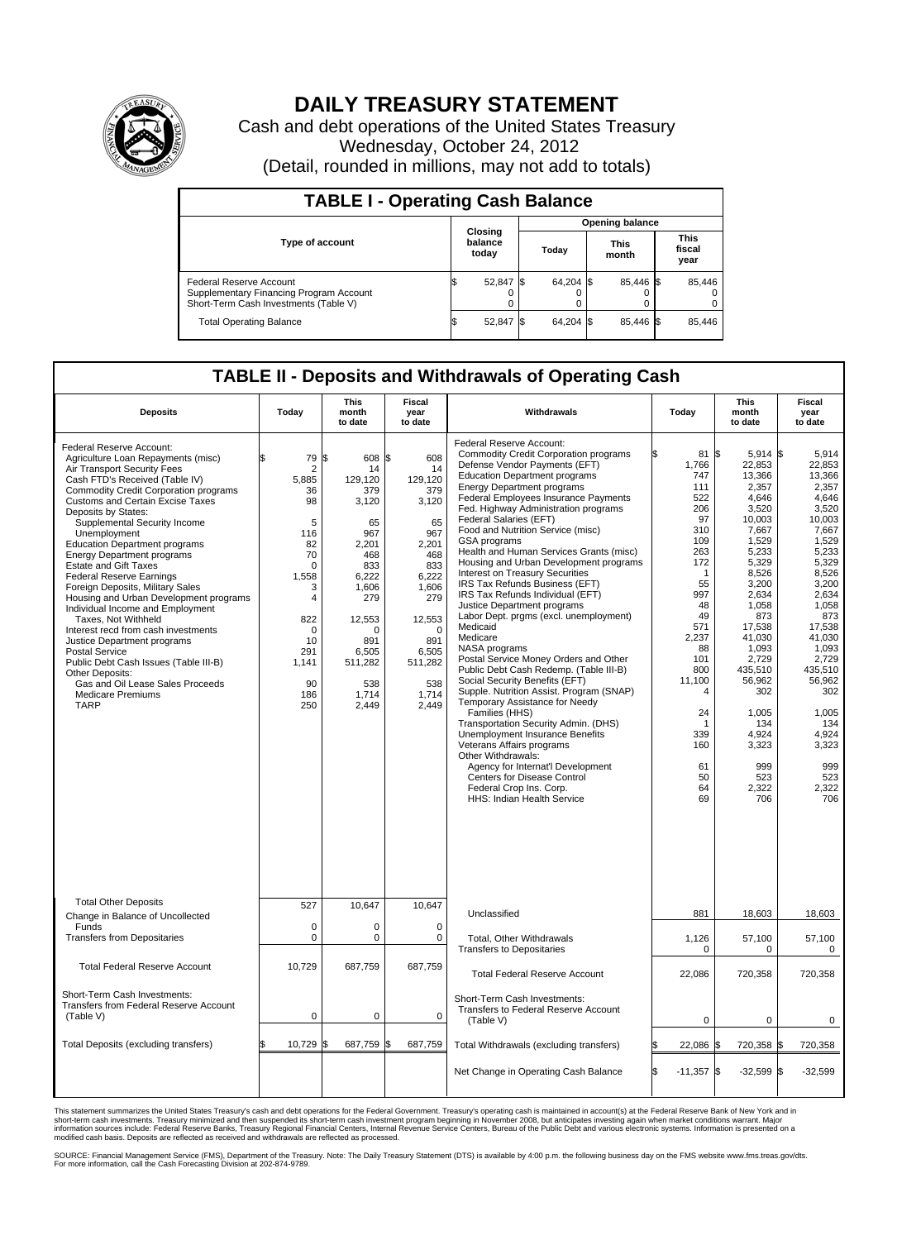

## **DAILY TREASURY STATEMENT**

Cash and debt operations of the United States Treasury Wednesday, October 24, 2012 (Detail, rounded in millions, may not add to totals)

| <b>TABLE I - Operating Cash Balance</b>                                                                     |    |                             |                 |           |               |                |                               |                         |  |  |  |
|-------------------------------------------------------------------------------------------------------------|----|-----------------------------|-----------------|-----------|---------------|----------------|-------------------------------|-------------------------|--|--|--|
|                                                                                                             |    |                             | Opening balance |           |               |                |                               |                         |  |  |  |
| <b>Type of account</b>                                                                                      |    | Closing<br>balance<br>today | Today           |           | This<br>month |                | <b>This</b><br>fiscal<br>year |                         |  |  |  |
| Federal Reserve Account<br>Supplementary Financing Program Account<br>Short-Term Cash Investments (Table V) | ß. | 52,847 \$<br>0              |                 | 64,204 \$ |               | 85,446 \$<br>0 |                               | 85,446<br>$\Omega$<br>0 |  |  |  |
| <b>Total Operating Balance</b>                                                                              | ß. | 52,847                      |                 | 64,204 \$ |               | 85.446 \$      |                               | 85,446                  |  |  |  |

## **TABLE II - Deposits and Withdrawals of Operating Cash**

| <b>Deposits</b>                                                                                                                                                                                                                                                                                                                                                                                                                                                                                                                                                                                                                                                                                                                                                                                                                      | Todav                                                                                                                                                                  | <b>This</b><br>month<br>to date                                                                                                                                                    | Fiscal<br>year<br>to date                                                                                                                                                             | Withdrawals                                                                                                                                                                                                                                                                                                                                                                                                                                                                                                                                                                                                                                                                                                                                                                                                                                                                                                                                                                                                                                                                                                                                                                       | Today                                                                                                                                                                                                                            | <b>This</b><br>month<br>to date                                                                                                                                                                                                                                                      | <b>Fiscal</b><br>year<br>to date                                                                                                                                                                                                                                                |  |
|--------------------------------------------------------------------------------------------------------------------------------------------------------------------------------------------------------------------------------------------------------------------------------------------------------------------------------------------------------------------------------------------------------------------------------------------------------------------------------------------------------------------------------------------------------------------------------------------------------------------------------------------------------------------------------------------------------------------------------------------------------------------------------------------------------------------------------------|------------------------------------------------------------------------------------------------------------------------------------------------------------------------|------------------------------------------------------------------------------------------------------------------------------------------------------------------------------------|---------------------------------------------------------------------------------------------------------------------------------------------------------------------------------------|-----------------------------------------------------------------------------------------------------------------------------------------------------------------------------------------------------------------------------------------------------------------------------------------------------------------------------------------------------------------------------------------------------------------------------------------------------------------------------------------------------------------------------------------------------------------------------------------------------------------------------------------------------------------------------------------------------------------------------------------------------------------------------------------------------------------------------------------------------------------------------------------------------------------------------------------------------------------------------------------------------------------------------------------------------------------------------------------------------------------------------------------------------------------------------------|----------------------------------------------------------------------------------------------------------------------------------------------------------------------------------------------------------------------------------|--------------------------------------------------------------------------------------------------------------------------------------------------------------------------------------------------------------------------------------------------------------------------------------|---------------------------------------------------------------------------------------------------------------------------------------------------------------------------------------------------------------------------------------------------------------------------------|--|
| Federal Reserve Account:<br>Agriculture Loan Repayments (misc)<br>Air Transport Security Fees<br>Cash FTD's Received (Table IV)<br><b>Commodity Credit Corporation programs</b><br><b>Customs and Certain Excise Taxes</b><br>Deposits by States:<br>Supplemental Security Income<br>Unemployment<br><b>Education Department programs</b><br><b>Energy Department programs</b><br><b>Estate and Gift Taxes</b><br><b>Federal Reserve Earnings</b><br>Foreign Deposits, Military Sales<br>Housing and Urban Development programs<br>Individual Income and Employment<br>Taxes, Not Withheld<br>Interest recd from cash investments<br>Justice Department programs<br><b>Postal Service</b><br>Public Debt Cash Issues (Table III-B)<br>Other Deposits:<br>Gas and Oil Lease Sales Proceeds<br><b>Medicare Premiums</b><br><b>TARP</b> | 79<br>\$<br>$\overline{2}$<br>5,885<br>36<br>98<br>5<br>116<br>82<br>70<br>$\Omega$<br>1,558<br>3<br>4<br>822<br>$\mathbf 0$<br>10<br>291<br>1,141<br>90<br>186<br>250 | l\$<br>608<br>14<br>129,120<br>379<br>3,120<br>65<br>967<br>2.201<br>468<br>833<br>6,222<br>1,606<br>279<br>12,553<br>$\Omega$<br>891<br>6,505<br>511,282<br>538<br>1,714<br>2,449 | l\$<br>608<br>14<br>129,120<br>379<br>3,120<br>65<br>967<br>2.201<br>468<br>833<br>6,222<br>1,606<br>279<br>12,553<br>$\mathbf 0$<br>891<br>6,505<br>511,282<br>538<br>1,714<br>2,449 | <b>Federal Reserve Account:</b><br><b>Commodity Credit Corporation programs</b><br>Defense Vendor Payments (EFT)<br><b>Education Department programs</b><br><b>Energy Department programs</b><br>Federal Employees Insurance Payments<br>Fed. Highway Administration programs<br>Federal Salaries (EFT)<br>Food and Nutrition Service (misc)<br>GSA programs<br>Health and Human Services Grants (misc)<br>Housing and Urban Development programs<br><b>Interest on Treasury Securities</b><br>IRS Tax Refunds Business (EFT)<br>IRS Tax Refunds Individual (EFT)<br>Justice Department programs<br>Labor Dept. prgms (excl. unemployment)<br>Medicaid<br>Medicare<br>NASA programs<br>Postal Service Money Orders and Other<br>Public Debt Cash Redemp. (Table III-B)<br>Social Security Benefits (EFT)<br>Supple. Nutrition Assist. Program (SNAP)<br>Temporary Assistance for Needy<br>Families (HHS)<br>Transportation Security Admin. (DHS)<br><b>Unemployment Insurance Benefits</b><br>Veterans Affairs programs<br>Other Withdrawals:<br>Agency for Internat'l Development<br>Centers for Disease Control<br>Federal Crop Ins. Corp.<br><b>HHS: Indian Health Service</b> | 81 \$<br>1,766<br>747<br>111<br>522<br>206<br>97<br>310<br>109<br>263<br>172<br>$\mathbf 1$<br>55<br>997<br>48<br>49<br>571<br>2,237<br>88<br>101<br>800<br>11,100<br>$\overline{4}$<br>24<br>339<br>160<br>61<br>50<br>64<br>69 | $5,914$ \$<br>22,853<br>13,366<br>2,357<br>4,646<br>3,520<br>10,003<br>7,667<br>1,529<br>5,233<br>5,329<br>8,526<br>3,200<br>2,634<br>1,058<br>873<br>17,538<br>41,030<br>1,093<br>2,729<br>435,510<br>56,962<br>302<br>1,005<br>134<br>4,924<br>3,323<br>999<br>523<br>2,322<br>706 | 5,914<br>22,853<br>13,366<br>2,357<br>4,646<br>3,520<br>10,003<br>7,667<br>1,529<br>5,233<br>5,329<br>8,526<br>3,200<br>2,634<br>1,058<br>873<br>17.538<br>41,030<br>1,093<br>2,729<br>435,510<br>56,962<br>302<br>1,005<br>134<br>4,924<br>3,323<br>999<br>523<br>2,322<br>706 |  |
| <b>Total Other Deposits</b><br>Change in Balance of Uncollected                                                                                                                                                                                                                                                                                                                                                                                                                                                                                                                                                                                                                                                                                                                                                                      | 527                                                                                                                                                                    | 10,647                                                                                                                                                                             | 10,647                                                                                                                                                                                | Unclassified                                                                                                                                                                                                                                                                                                                                                                                                                                                                                                                                                                                                                                                                                                                                                                                                                                                                                                                                                                                                                                                                                                                                                                      | 881                                                                                                                                                                                                                              | 18.603                                                                                                                                                                                                                                                                               | 18.603                                                                                                                                                                                                                                                                          |  |
| Funds<br><b>Transfers from Depositaries</b>                                                                                                                                                                                                                                                                                                                                                                                                                                                                                                                                                                                                                                                                                                                                                                                          | $\mathbf 0$<br>$\mathbf 0$                                                                                                                                             | $\mathbf 0$<br>$\mathbf 0$                                                                                                                                                         | $\mathbf 0$<br>$\mathbf 0$                                                                                                                                                            | Total, Other Withdrawals                                                                                                                                                                                                                                                                                                                                                                                                                                                                                                                                                                                                                                                                                                                                                                                                                                                                                                                                                                                                                                                                                                                                                          | 1,126                                                                                                                                                                                                                            | 57,100                                                                                                                                                                                                                                                                               | 57,100                                                                                                                                                                                                                                                                          |  |
|                                                                                                                                                                                                                                                                                                                                                                                                                                                                                                                                                                                                                                                                                                                                                                                                                                      |                                                                                                                                                                        |                                                                                                                                                                                    |                                                                                                                                                                                       | <b>Transfers to Depositaries</b>                                                                                                                                                                                                                                                                                                                                                                                                                                                                                                                                                                                                                                                                                                                                                                                                                                                                                                                                                                                                                                                                                                                                                  | $\Omega$                                                                                                                                                                                                                         | $\Omega$                                                                                                                                                                                                                                                                             | $\Omega$                                                                                                                                                                                                                                                                        |  |
| <b>Total Federal Reserve Account</b>                                                                                                                                                                                                                                                                                                                                                                                                                                                                                                                                                                                                                                                                                                                                                                                                 | 10,729                                                                                                                                                                 | 687,759                                                                                                                                                                            | 687,759                                                                                                                                                                               | <b>Total Federal Reserve Account</b>                                                                                                                                                                                                                                                                                                                                                                                                                                                                                                                                                                                                                                                                                                                                                                                                                                                                                                                                                                                                                                                                                                                                              | 22,086                                                                                                                                                                                                                           | 720,358                                                                                                                                                                                                                                                                              | 720,358                                                                                                                                                                                                                                                                         |  |
| Short-Term Cash Investments:<br><b>Transfers from Federal Reserve Account</b><br>(Table V)                                                                                                                                                                                                                                                                                                                                                                                                                                                                                                                                                                                                                                                                                                                                           | 0                                                                                                                                                                      | $\mathbf 0$                                                                                                                                                                        | $\mathbf 0$                                                                                                                                                                           | Short-Term Cash Investments:<br>Transfers to Federal Reserve Account<br>(Table V)                                                                                                                                                                                                                                                                                                                                                                                                                                                                                                                                                                                                                                                                                                                                                                                                                                                                                                                                                                                                                                                                                                 | 0                                                                                                                                                                                                                                | 0                                                                                                                                                                                                                                                                                    | $\mathbf 0$                                                                                                                                                                                                                                                                     |  |
| Total Deposits (excluding transfers)                                                                                                                                                                                                                                                                                                                                                                                                                                                                                                                                                                                                                                                                                                                                                                                                 | 10,729 \$                                                                                                                                                              | 687,759                                                                                                                                                                            | 687,759<br>l.S                                                                                                                                                                        | Total Withdrawals (excluding transfers)                                                                                                                                                                                                                                                                                                                                                                                                                                                                                                                                                                                                                                                                                                                                                                                                                                                                                                                                                                                                                                                                                                                                           | 22,086                                                                                                                                                                                                                           | 720,358 \$                                                                                                                                                                                                                                                                           | 720,358                                                                                                                                                                                                                                                                         |  |
|                                                                                                                                                                                                                                                                                                                                                                                                                                                                                                                                                                                                                                                                                                                                                                                                                                      |                                                                                                                                                                        |                                                                                                                                                                                    |                                                                                                                                                                                       | Net Change in Operating Cash Balance                                                                                                                                                                                                                                                                                                                                                                                                                                                                                                                                                                                                                                                                                                                                                                                                                                                                                                                                                                                                                                                                                                                                              | l\$<br>$-11,357$ \$                                                                                                                                                                                                              | $-32.599$ \$                                                                                                                                                                                                                                                                         | $-32,599$                                                                                                                                                                                                                                                                       |  |

This statement summarizes the United States Treasury's cash and debt operations for the Federal Government. Treasury's operating cash is maintained in account(s) at the Federal Reserve Bank of New York and in<br>short-term ca

SOURCE: Financial Management Service (FMS), Department of the Treasury. Note: The Daily Treasury Statement (DTS) is available by 4:00 p.m. the following business day on the FMS website www.fms.treas.gov/dts.<br>For more infor